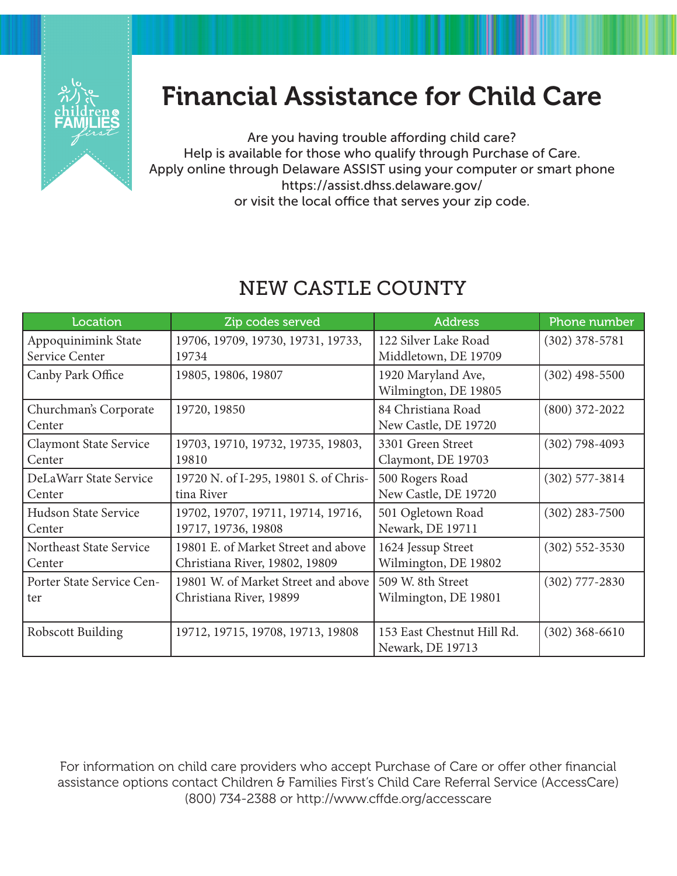

## Financial Assistance for Child Care

Are you having trouble affording child care? Help is available for those who qualify through Purchase of Care. Apply online through Delaware ASSIST using your computer or smart phone https://assist.dhss.delaware.gov/ or visit the local office that serves your zip code.

## new castle county

| Location                      | Zip codes served                      | <b>Address</b>             | Phone number       |
|-------------------------------|---------------------------------------|----------------------------|--------------------|
| Appoquinimink State           | 19706, 19709, 19730, 19731, 19733,    | 122 Silver Lake Road       | $(302)$ 378-5781   |
| Service Center                | 19734                                 | Middletown, DE 19709       |                    |
| Canby Park Office             | 19805, 19806, 19807                   | 1920 Maryland Ave,         | $(302)$ 498-5500   |
|                               |                                       | Wilmington, DE 19805       |                    |
| Churchman's Corporate         | 19720, 19850                          | 84 Christiana Road         | $(800)$ 372-2022   |
| Center                        |                                       | New Castle, DE 19720       |                    |
| <b>Claymont State Service</b> | 19703, 19710, 19732, 19735, 19803,    | 3301 Green Street          | $(302) 798 - 4093$ |
| Center                        | 19810                                 | Claymont, DE 19703         |                    |
| DeLaWarr State Service        | 19720 N. of I-295, 19801 S. of Chris- | 500 Rogers Road            | $(302)$ 577-3814   |
| Center                        | tina River                            | New Castle, DE 19720       |                    |
| Hudson State Service          | 19702, 19707, 19711, 19714, 19716,    | 501 Ogletown Road          | $(302)$ 283-7500   |
| Center                        | 19717, 19736, 19808                   | Newark, DE 19711           |                    |
| Northeast State Service       | 19801 E. of Market Street and above   | 1624 Jessup Street         | $(302)$ 552-3530   |
| Center                        | Christiana River, 19802, 19809        | Wilmington, DE 19802       |                    |
| Porter State Service Cen-     | 19801 W. of Market Street and above   | 509 W. 8th Street          | $(302)$ 777-2830   |
| ter                           | Christiana River, 19899               | Wilmington, DE 19801       |                    |
|                               |                                       |                            |                    |
| Robscott Building             | 19712, 19715, 19708, 19713, 19808     | 153 East Chestnut Hill Rd. | $(302)$ 368-6610   |
|                               |                                       | Newark, DE 19713           |                    |

For information on child care providers who accept Purchase of Care or offer other financial assistance options contact Children & Families First's Child Care Referral Service (AccessCare) (800) 734-2388 or http://www.cffde.org/accesscare